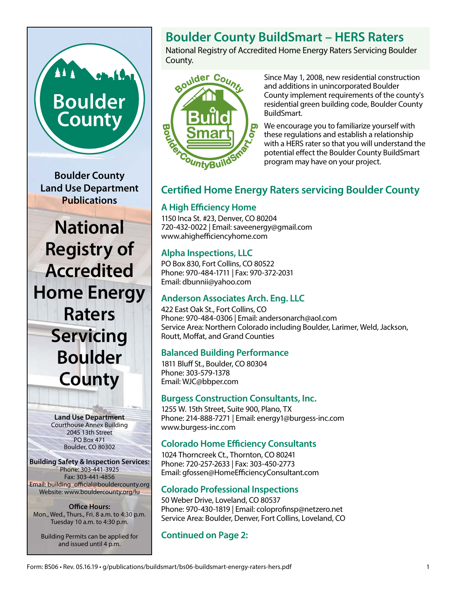# **Boulder** County

**Boulder County Land Use Department Publications**

**National Registry of Accredited Home Energy Raters Servicing Boulder County**

> **Land Use Department** Courthouse Annex Building 2045 13th Street PO Box 471 Boulder, CO 80302

**Building Safety & Inspection Services:** Phone: 303-441-3925 Fax: 303-441-4856 Email: building\_official@bouldercounty.org Website: www.bouldercounty.org/lu

**Office Hours:** Mon., Wed., Thurs., Fri. 8 a.m. to 4:30 p.m. Tuesday 10 a.m. to 4:30 p.m.

Building Permits can be applied for and issued until 4 p.m.

# **Boulder County BuildSmart – HERS Raters**

National Registry of Accredited Home Energy Raters Servicing Boulder County.



Since May 1, 2008, new residential construction and additions in unincorporated Boulder County implement requirements of the county's residential green building code, Boulder County BuildSmart.

We encourage you to familiarize yourself with these regulations and establish a relationship with a HERS rater so that you will understand the potential effect the Boulder County BuildSmart program may have on your project.

# **Certified Home Energy Raters servicing Boulder County**

# **A High Efficiency Home**

1150 Inca St. #23, Denver, CO 80204 720-432-0022 | Email: [saveenergy@gmail.com](mailto:saveenergy@gmail.com) [www.ahighefficiencyhome.com](http://www.ahighefficiencyhome.com)

# **Alpha Inspections, LLC**

PO Box 830, Fort Collins, CO 80522 Phone: 970-484-1711 | Fax: 970-372-2031 Email: [dbunnii@yahoo.com](mailto:dbunnii@yahoo.com)

## **Anderson Associates Arch. Eng. LLC**

422 East Oak St., Fort Collins, CO Phone: 970-484-0306 | Email: [andersonarch@aol.com](mailto:andersonarch@aol.com) Service Area: Northern Colorado including Boulder, Larimer, Weld, Jackson, Routt, Moffat, and Grand Counties

# **Balanced Building Performance**

1811 Bluff St., Boulder, CO 80304 Phone: 303-579-1378 Email: [WJC@bbper.com](mailto:WJC@bbper.com)

## **Burgess Construction Consultants, Inc.**

1255 W. 15th Street, Suite 900, Plano, TX Phone: 214-888-7271 | Email: energy1@burgess-inc.com www.burgess-inc.com

# **Colorado Home Efficiency Consultants**

1024 Thorncreek Ct., Thornton, CO 80241 Phone: 720-257-2633 | Fax: 303-450-2773 Email: [gfossen@HomeEfficiencyConsultant.com](mailto:gfossen@HomeEfficiencyConsultant.com)

# **Colorado Professional Inspections**

50 Weber Drive, Loveland, CO 80537 Phone: 970-430-1819 | Email: [coloprofinsp@netzero.net](mailto:coloprofinsp@netzero.net) Service Area: Boulder, Denver, Fort Collins, Loveland, CO

**Continued on Page 2:**